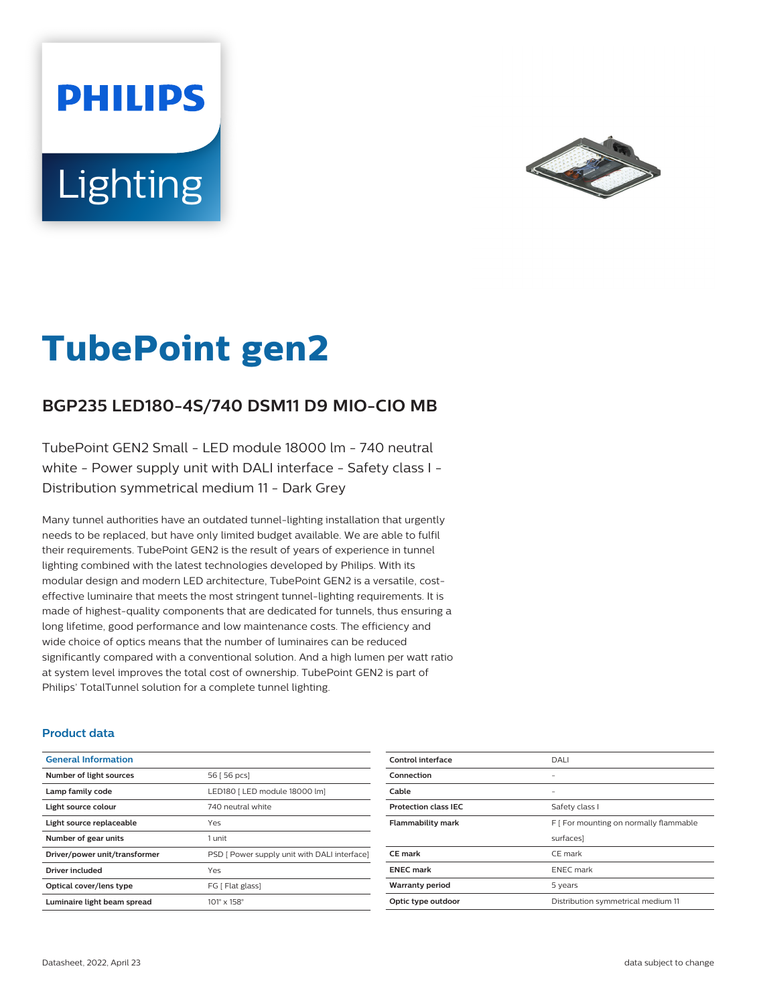# **PHILIPS Lighting**



# **TubePoint gen2**

# **BGP235 LED180-4S/740 DSM11 D9 MIO-CIO MB**

TubePoint GEN2 Small - LED module 18000 lm - 740 neutral white - Power supply unit with DALI interface - Safety class I -Distribution symmetrical medium 11 - Dark Grey

Many tunnel authorities have an outdated tunnel-lighting installation that urgently needs to be replaced, but have only limited budget available. We are able to fulfil their requirements. TubePoint GEN2 is the result of years of experience in tunnel lighting combined with the latest technologies developed by Philips. With its modular design and modern LED architecture, TubePoint GEN2 is a versatile, costeffective luminaire that meets the most stringent tunnel-lighting requirements. It is made of highest-quality components that are dedicated for tunnels, thus ensuring a long lifetime, good performance and low maintenance costs. The efficiency and wide choice of optics means that the number of luminaires can be reduced significantly compared with a conventional solution. And a high lumen per watt ratio at system level improves the total cost of ownership. TubePoint GEN2 is part of Philips' TotalTunnel solution for a complete tunnel lighting.

#### **Product data**

| <b>General Information</b>    |                                              |
|-------------------------------|----------------------------------------------|
| Number of light sources       | 56 [ 56 pcs]                                 |
| Lamp family code              | LED180   LED module 18000 lm]                |
| Light source colour           | 740 neutral white                            |
| Light source replaceable      | Yes                                          |
| Number of gear units          | 1 unit                                       |
| Driver/power unit/transformer | PSD [ Power supply unit with DALI interface] |
| <b>Driver included</b>        | Yes                                          |
| Optical cover/lens type       | FG [ Flat glass]                             |
| Luminaire light beam spread   | $101^\circ \times 158^\circ$                 |

| Control interface           | DALI                                   |
|-----------------------------|----------------------------------------|
| Connection                  |                                        |
| Cable                       |                                        |
| <b>Protection class IEC</b> | Safety class I                         |
| <b>Flammability mark</b>    | F [ For mounting on normally flammable |
|                             | surfaces]                              |
| <b>CE</b> mark              | CE mark                                |
| <b>ENEC mark</b>            | <b>ENEC</b> mark                       |
| <b>Warranty period</b>      | 5 years                                |
| Optic type outdoor          | Distribution symmetrical medium 11     |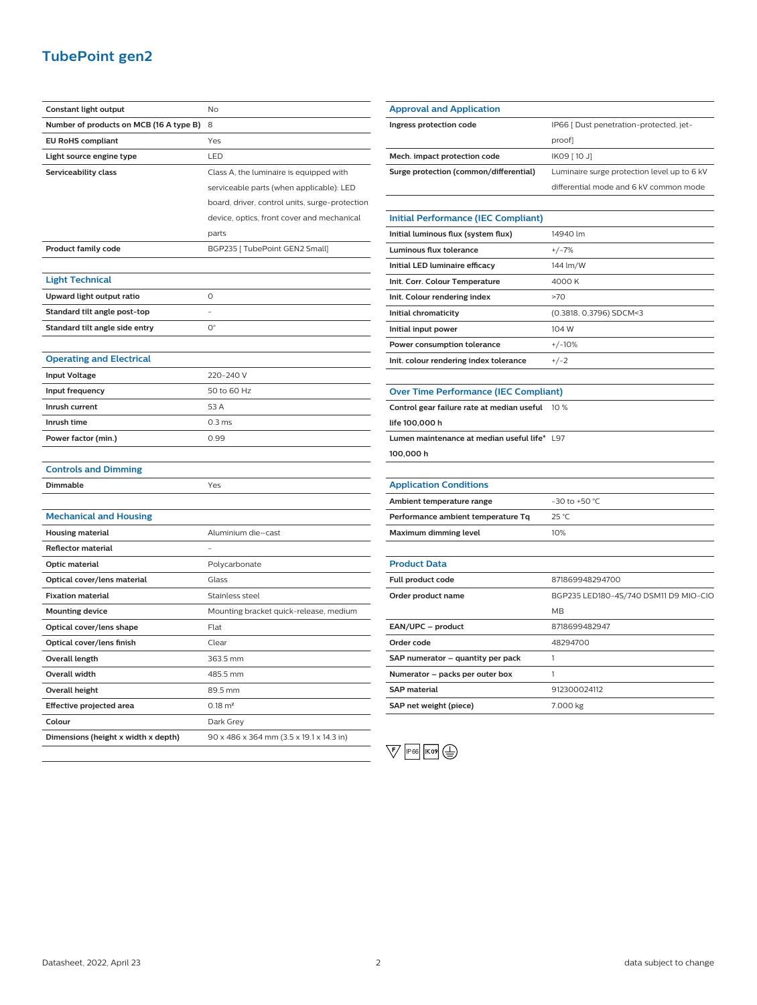## **TubePoint gen2**

| Constant light output                   | <b>No</b>                                      |
|-----------------------------------------|------------------------------------------------|
| Number of products on MCB (16 A type B) | 8                                              |
| <b>EU RoHS compliant</b>                | Yes                                            |
| Light source engine type                | LED                                            |
| Serviceability class                    | Class A, the luminaire is equipped with        |
|                                         | serviceable parts (when applicable): LED       |
|                                         | board, driver, control units, surge-protection |
|                                         | device, optics, front cover and mechanical     |
|                                         | parts                                          |
| <b>Product family code</b>              | BGP235   TubePoint GEN2 Small]                 |
|                                         |                                                |
| <b>Light Technical</b>                  |                                                |
| Upward light output ratio               | 0                                              |
| Standard tilt angle post-top            | $\overline{a}$                                 |
| Standard tilt angle side entry          | $O^{\circ}$                                    |
|                                         |                                                |
| <b>Operating and Electrical</b>         |                                                |
| <b>Input Voltage</b>                    | 220-240 V                                      |
| Input frequency                         | 50 to 60 Hz                                    |
| Inrush current                          | 53 A                                           |
| Inrush time                             | 0.3 <sub>ms</sub>                              |
| Power factor (min.)                     | 0.99                                           |
|                                         |                                                |
| <b>Controls and Dimming</b>             |                                                |
| Dimmable                                | Yes                                            |
|                                         |                                                |
| <b>Mechanical and Housing</b>           |                                                |
| <b>Housing material</b>                 | Aluminium die-cast                             |
| <b>Reflector material</b>               |                                                |
| Optic material                          | Polycarbonate                                  |
| Optical cover/lens material             | Glass                                          |
| <b>Fixation material</b>                | Stainless steel                                |
| <b>Mounting device</b>                  | Mounting bracket quick-release, medium         |
| Optical cover/lens shape                | Flat                                           |
| Optical cover/lens finish               | Clear                                          |
| Overall length                          | 363.5 mm                                       |
| Overall width                           | 485.5 mm                                       |
| <b>Overall height</b>                   | 89.5 mm                                        |
| Effective projected area                | $0.18 \; \text{m}^2$                           |
| Colour                                  | Dark Grey                                      |
| Dimensions (height x width x depth)     | 90 x 486 x 364 mm (3.5 x 19.1 x 14.3 in)       |

| <b>Approval and Application</b>              |                                             |
|----------------------------------------------|---------------------------------------------|
| Ingress protection code                      | IP66 [ Dust penetration-protected, jet-     |
|                                              | proof]                                      |
| Mech. impact protection code                 | IK09 [10 J]                                 |
| Surge protection (common/differential)       | Luminaire surge protection level up to 6 kV |
|                                              | differential mode and 6 kV common mode      |
|                                              |                                             |
| <b>Initial Performance (IEC Compliant)</b>   |                                             |
| Initial luminous flux (system flux)          | 14940 lm                                    |
| Luminous flux tolerance                      | $+/-7%$                                     |
| Initial LED luminaire efficacy               | 144 lm/W                                    |
| Init. Corr. Colour Temperature               | 4000 K                                      |
| Init. Colour rendering index                 | >70                                         |
| Initial chromaticity                         | (0.3818, 0,3796) SDCM<3                     |
| Initial input power                          | 104 W                                       |
| Power consumption tolerance                  | $+/-10%$                                    |
| Init. colour rendering index tolerance       | $+/-2$                                      |
|                                              |                                             |
| <b>Over Time Performance (IEC Compliant)</b> |                                             |
| Control gear failure rate at median useful   | 10 %                                        |
| life 100,000 h                               |                                             |
| Lumen maintenance at median useful life* L97 |                                             |
| 100,000 h                                    |                                             |
|                                              |                                             |
| <b>Application Conditions</b>                |                                             |
| Ambient temperature range                    | -30 to +50 °C                               |
| Performance ambient temperature Tq           | 25 °C                                       |
| <b>Maximum dimming level</b>                 | 10%                                         |
|                                              |                                             |
| <b>Product Data</b>                          |                                             |
| Full product code                            | 871869948294700                             |
| Order product name                           | BGP235 LED180-4S/740 DSM11 D9 MIO-CIO       |
|                                              | <b>MB</b>                                   |
| EAN/UPC - product                            | 8718699482947                               |
| Order code                                   | 48294700                                    |
| SAP numerator – quantity per pack            | 1                                           |
| Numerator – packs per outer box              | 1                                           |
| <b>SAP</b> material                          | 912300024112                                |
| SAP net weight (piece)                       | 7.000 kg                                    |